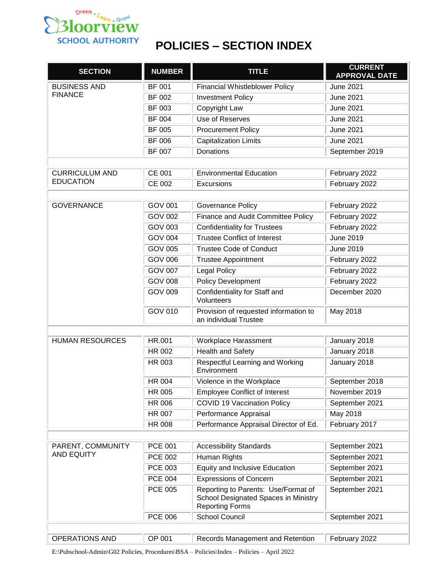

## **POLICIES – SECTION INDEX**

| <b>SECTION</b>                            | <b>NUMBER</b>  | <b>TITLE</b>                                                                                          | <b>CURRENT</b><br><b>APPROVAL DATE</b> |
|-------------------------------------------|----------------|-------------------------------------------------------------------------------------------------------|----------------------------------------|
| <b>BUSINESS AND</b>                       | <b>BF 001</b>  | <b>Financial Whistleblower Policy</b>                                                                 | <b>June 2021</b>                       |
| <b>FINANCE</b>                            | BF 002         | <b>Investment Policy</b>                                                                              | <b>June 2021</b>                       |
|                                           | BF 003         | Copyright Law                                                                                         | <b>June 2021</b>                       |
|                                           | BF 004         | Use of Reserves                                                                                       | <b>June 2021</b>                       |
|                                           | <b>BF 005</b>  | <b>Procurement Policy</b>                                                                             | <b>June 2021</b>                       |
|                                           | BF 006         | <b>Capitalization Limits</b>                                                                          | <b>June 2021</b>                       |
|                                           | <b>BF 007</b>  | Donations                                                                                             | September 2019                         |
|                                           |                |                                                                                                       |                                        |
| <b>CURRICULUM AND</b><br><b>EDUCATION</b> | <b>CE 001</b>  | <b>Environmental Education</b>                                                                        | February 2022                          |
|                                           | <b>CE 002</b>  | Excursions                                                                                            | February 2022                          |
|                                           |                |                                                                                                       |                                        |
| <b>GOVERNANCE</b>                         | <b>GOV 001</b> | Governance Policy                                                                                     | February 2022                          |
|                                           | <b>GOV 002</b> | Finance and Audit Committee Policy                                                                    | February 2022                          |
|                                           | <b>GOV 003</b> | <b>Confidentiality for Trustees</b>                                                                   | February 2022                          |
|                                           | <b>GOV 004</b> | <b>Trustee Conflict of Interest</b>                                                                   | June 2019                              |
|                                           | <b>GOV 005</b> | <b>Trustee Code of Conduct</b>                                                                        | June 2019                              |
|                                           | <b>GOV 006</b> | <b>Trustee Appointment</b>                                                                            | February 2022                          |
|                                           | <b>GOV 007</b> | <b>Legal Policy</b>                                                                                   | February 2022                          |
|                                           | <b>GOV 008</b> | <b>Policy Development</b>                                                                             | February 2022                          |
|                                           | <b>GOV 009</b> | Confidentiality for Staff and<br>Volunteers                                                           | December 2020                          |
|                                           | GOV 010        | Provision of requested information to<br>an individual Trustee                                        | May 2018                               |
|                                           |                |                                                                                                       |                                        |
| <b>HUMAN RESOURCES</b>                    | HR.001         | Workplace Harassment                                                                                  | January 2018                           |
|                                           | HR 002         | <b>Health and Safety</b>                                                                              | January 2018                           |
|                                           | HR 003         | Respectful Learning and Working<br>Environment                                                        | January 2018                           |
|                                           | <b>HR 004</b>  | Violence in the Workplace                                                                             | September 2018                         |
|                                           | HR 005         | <b>Employee Conflict of Interest</b>                                                                  | November 2019                          |
|                                           | <b>HR 006</b>  | <b>COVID 19 Vaccination Policy</b>                                                                    | September 2021                         |
|                                           | <b>HR 007</b>  | Performance Appraisal                                                                                 | May 2018                               |
|                                           | <b>HR 008</b>  | Performance Appraisal Director of Ed.                                                                 | February 2017                          |
|                                           |                |                                                                                                       |                                        |
| PARENT, COMMUNITY                         | <b>PCE 001</b> | <b>Accessibility Standards</b>                                                                        | September 2021                         |
| <b>AND EQUITY</b>                         | <b>PCE 002</b> | Human Rights                                                                                          | September 2021                         |
|                                           | <b>PCE 003</b> | <b>Equity and Inclusive Education</b>                                                                 | September 2021                         |
|                                           | <b>PCE 004</b> | <b>Expressions of Concern</b>                                                                         | September 2021                         |
|                                           | <b>PCE 005</b> | Reporting to Parents: Use/Format of<br>School Designated Spaces in Ministry<br><b>Reporting Forms</b> | September 2021                         |
|                                           | <b>PCE 006</b> | <b>School Council</b>                                                                                 | September 2021                         |
|                                           |                |                                                                                                       |                                        |
| OPERATIONS AND                            | OP 001         | Records Management and Retention                                                                      | February 2022                          |

E:\Pubschool-Admin\G02 Policies, Procedures\BSA – Policies\Index – Policies – April 2022